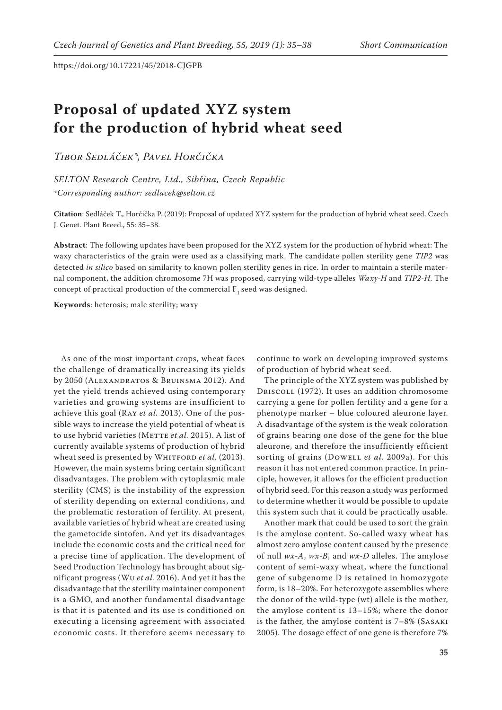## **Proposal of updated XYZ system for the production of hybrid wheat seed**

*Tibor Sedláček\*, Pavel Horčička*

*SELTON Research Centre, Ltd., Sibřina, Czech Republic \*Corresponding author: sedlacek@selton.cz*

**Citation**: Sedláček T., Horčička P. (2019): Proposal of updated XYZ system for the production of hybrid wheat seed. Czech J. Genet. Plant Breed., 55: 35−38.

**Abstract**: The following updates have been proposed for the XYZ system for the production of hybrid wheat: The waxy characteristics of the grain were used as a classifying mark. The candidate pollen sterility gene *TIP2* was detected *in silico* based on similarity to known pollen sterility genes in rice. In order to maintain a sterile maternal component, the addition chromosome 7H was proposed, carrying wild-type alleles *Waxy-H* and *TIP2-H*. The concept of practical production of the commercial  $F_1$  seed was designed.

**Keywords**: heterosis; male sterility; waxy

As one of the most important crops, wheat faces the challenge of dramatically increasing its yields by 2050 (Alexandratos & Bruinsma 2012). And yet the yield trends achieved using contemporary varieties and growing systems are insufficient to achieve this goal (Ray *et al.* 2013). One of the possible ways to increase the yield potential of wheat is to use hybrid varieties (METTE et al. 2015). A list of currently available systems of production of hybrid wheat seed is presented by WHITFORD et al. (2013). However, the main systems bring certain significant disadvantages. The problem with cytoplasmic male sterility (CMS) is the instability of the expression of sterility depending on external conditions, and the problematic restoration of fertility. At present, available varieties of hybrid wheat are created using the gametocide sintofen. And yet its disadvantages include the economic costs and the critical need for a precise time of application. The development of Seed Production Technology has brought about significant progress (Wu *et al.* 2016). And yet it has the disadvantage that the sterility maintainer component is a GMO, and another fundamental disadvantage is that it is patented and its use is conditioned on executing a licensing agreement with associated economic costs. It therefore seems necessary to

continue to work on developing improved systems of production of hybrid wheat seed.

The principle of the XYZ system was published by Driscoll (1972). It uses an addition chromosome carrying a gene for pollen fertility and a gene for a phenotype marker – blue coloured aleurone layer. A disadvantage of the system is the weak coloration of grains bearing one dose of the gene for the blue aleurone, and therefore the insufficiently efficient sorting of grains (Dowell *et al.* 2009a). For this reason it has not entered common practice. In principle, however, it allows for the efficient production of hybrid seed. For this reason a study was performed to determine whether it would be possible to update this system such that it could be practically usable.

Another mark that could be used to sort the grain is the amylose content. So-called waxy wheat has almost zero amylose content caused by the presence of null *wx-A*, *wx-B*, and *wx-D* alleles. The amylose content of semi-waxy wheat, where the functional gene of subgenome D is retained in homozygote form, is 18–20%. For heterozygote assemblies where the donor of the wild-type (wt) allele is the mother, the amylose content is 13–15%; where the donor is the father, the amylose content is 7–8% (Sasaki 2005). The dosage effect of one gene is therefore 7%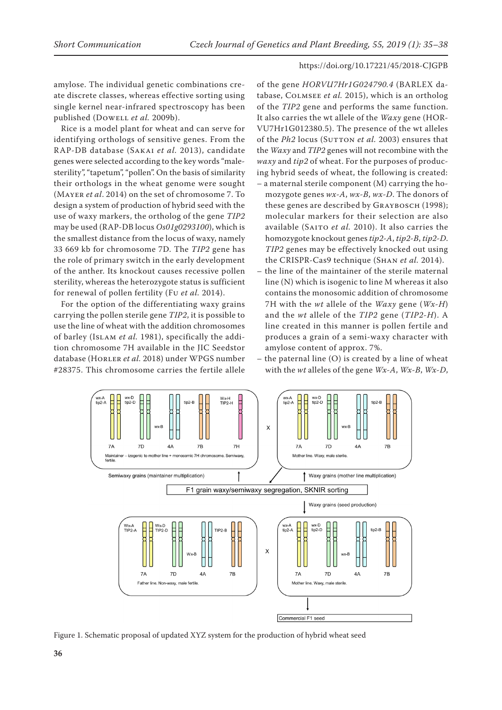amylose. The individual genetic combinations create discrete classes, whereas effective sorting using single kernel near-infrared spectroscopy has been published (Dowell *et al.* 2009b).

Rice is a model plant for wheat and can serve for identifying orthologs of sensitive genes. From the RAP-DB database (Sakai *et al.* 2013), candidate genes were selected according to the key words "malesterility", "tapetum", "pollen". On the basis of similarity their orthologs in the wheat genome were sought (Mayer *et al*. 2014) on the set of chromosome 7. To design a system of production of hybrid seed with the use of waxy markers, the ortholog of the gene *TIP2* may be used (RAP-DB locus *Os01g0293100*), which is the smallest distance from the locus of waxy, namely 33 669 kb for chromosome 7D. The *TIP2* gene has the role of primary switch in the early development of the anther. Its knockout causes recessive pollen sterility, whereas the heterozygote status is sufficient for renewal of pollen fertility (Fu *et al.* 2014).

For the option of the differentiating waxy grains carrying the pollen sterile gene *TIP2*, it is possible to use the line of wheat with the addition chromosomes of barley (Islam *et al.* 1981), specifically the addition chromosome 7H available in the JIC Seedstor database (Horler *et al.* 2018) under WPGS number #28375. This chromosome carries the fertile allele

of the gene *HORVU7Hr1G024790.4* (BARLEX database, Colmsee *et al.* 2015), which is an ortholog of the *TIP2* gene and performs the same function. It also carries the wt allele of the *Waxy* gene (HOR-VU7Hr1G012380.5). The presence of the wt alleles of the *Ph2* locus (SUTTON *et al.* 2003) ensures that the *Waxy* and *TIP2* genes will not recombine with the *waxy* and *tip2* of wheat. For the purposes of producing hybrid seeds of wheat, the following is created: – a maternal sterile component (M) carrying the homozygote genes *wx-A*, *wx-B*, *wx-D*. The donors of these genes are described by GRAYBOSCH (1998); molecular markers for their selection are also available (Saito *et al.* 2010). It also carries the homozygote knockout genes *tip2-A*, *tip2-B*, *tip2-D*. *TIP2* genes may be effectively knocked out using the CRISPR-Cas9 technique (Shan *et al.* 2014).

- the line of the maintainer of the sterile maternal line (N) which is isogenic to line M whereas it also contains the monosomic addition of chromosome 7H with the *wt* allele of the *Waxy* gene (*Wx-H*) and the *wt* allele of the *TIP2* gene (*TIP2-H*). A line created in this manner is pollen fertile and produces a grain of a semi-waxy character with amylose content of approx. 7%.
- the paternal line  $(O)$  is created by a line of wheat with the *wt* alleles of the gene *Wx-A*, *Wx-B*, *Wx-D*,



Figure 1. Schematic proposal of updated XYZ system for the production of hybrid wheat seed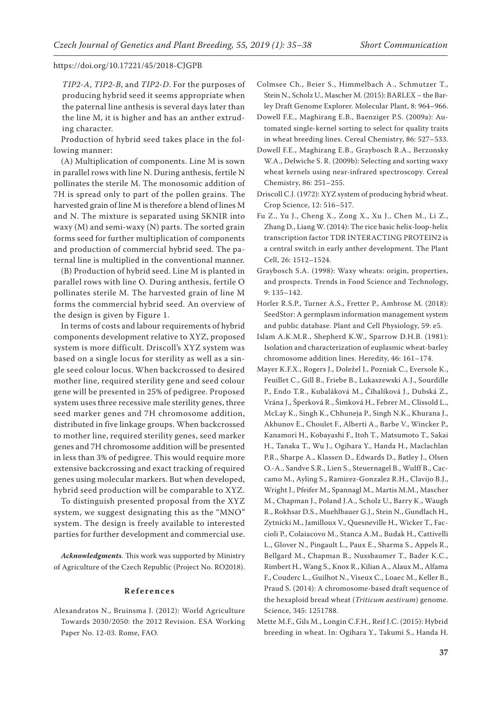*TIP2-A*, *TIP2-B*, and *TIP2-D*. For the purposes of producing hybrid seed it seems appropriate when the paternal line anthesis is several days later than the line M, it is higher and has an anther extruding character.

Production of hybrid seed takes place in the following manner:

(A) Multiplication of components. Line M is sown in parallel rows with line N. During anthesis, fertile N pollinates the sterile M. The monosomic addition of 7H is spread only to part of the pollen grains. The harvested grain of line M is therefore a blend of lines M and N. The mixture is separated using SKNIR into waxy (M) and semi-waxy (N) parts. The sorted grain forms seed for further multiplication of components and production of commercial hybrid seed. The paternal line is multiplied in the conventional manner.

(B) Production of hybrid seed. Line M is planted in parallel rows with line O. During anthesis, fertile O pollinates sterile M. The harvested grain of line M forms the commercial hybrid seed. An overview of the design is given by Figure 1.

In terms of costs and labour requirements of hybrid components development relative to XYZ, proposed system is more difficult. Driscoll's XYZ system was based on a single locus for sterility as well as a single seed colour locus. When backcrossed to desired mother line, required sterility gene and seed colour gene will be presented in 25% of pedigree. Proposed system uses three recessive male sterility genes, three seed marker genes and 7H chromosome addition, distributed in five linkage groups. When backcrossed to mother line, required sterility genes, seed marker genes and 7H chromosome addition will be presented in less than 3% of pedigree. This would require more extensive backcrossing and exact tracking of required genes using molecular markers. But when developed, hybrid seed production will be comparable to XYZ.

To distinguish presented proposal from the XYZ system, we suggest designating this as the "MNO" system. The design is freely available to interested parties for further development and commercial use.

*Acknowledgments*. This work was supported by Ministry of Agriculture of the Czech Republic (Project No. RO2018).

## **References**

Alexandratos N., Bruinsma J. (2012): World Agriculture Towards 2030/2050: the 2012 Revision. ESA Working Paper No. 12-03. Rome, FAO.

- Colmsee Ch., Beier S., Himmelbach A., Schmutzer T., Stein N., Scholz U., Mascher M. (2015): BARLEX – the Barley Draft Genome Explorer. Molecular Plant, 8: 964–966.
- Dowell F.E., Maghirang E.B., Baenziger P.S. (2009a): Automated single-kernel sorting to select for quality traits in wheat breeding lines. Cereal Chemistry, 86: 527–533.
- Dowell F.E., Maghirang E.B., Graybosch R.A., Berzonsky W.A., Delwiche S. R. (2009b): Selecting and sorting waxy wheat kernels using near-infrared spectroscopy. Cereal Chemistry, 86: 251–255.
- Driscoll C.J. (1972): XYZ system of producing hybrid wheat. Crop Science, 12: 516–517.
- Fu Z., Yu J., Cheng X., Zong X., Xu J., Chen M., Li Z., Zhang D., Liang W. (2014): The rice basic helix-loop-helix transcription factor TDR INTERACTING PROTEIN2 is a central switch in early anther development. The Plant Cell, 26: 1512–1524.
- Graybosch S.A. (1998): Waxy wheats: origin, properties, and prospects. Trends in Food Science and Technology, 9: 135–142.
- Horler R.S.P., Turner A.S., Fretter P., Ambrose M. (2018): SeedStor: A germplasm information management system and public database. Plant and Cell Physiology, 59: e5.
- Islam A.K.M.R., Shepherd K.W., Sparrow D.H.B. (1981): Isolation and characterization of euplasmic wheat-barley chromosome addition lines. Heredity, 46: 161–174.
- Mayer K.F.X., Rogers J., Doležel J., Pozniak C., Eversole K., Feuillet C., Gill B., Friebe B., Lukaszewski A.J., Sourdille P., Endo T.R., Kubaláková M., Číhalíková J., Dubská Z., Vrána J., Šperková R., Šimková H., Febrer M., Clissold L., McLay K., Singh K., Chhuneja P., Singh N.K., Khurana J., Akhunov E., Choulet F., Alberti A., Barbe V., Wincker P., Kanamori H., Kobayashi F., Itoh T., Matsumoto T., Sakai H., Tanaka T., Wu J., Ogihara Y., Handa H., Maclachlan P.R., Sharpe A., Klassen D., Edwards D., Batley J., Olsen O.-A., Sandve S.R., Lien S., Steuernagel B., Wulff B., Caccamo M., Ayling S., Ramirez-Gonzalez R.H., Clavijo B.J., Wright J., Pfeifer M., Spannagl M., Martis M.M., Mascher M., Chapman J., Poland J.A., Scholz U., Barry K., Waugh R., Rokhsar D.S., Muehlbauer G.J., Stein N., Gundlach H., Zytnicki M., Jamilloux V., Quesneville H., Wicker T., Faccioli P., Colaiacovo M., Stanca A.M., Budak H., Cattivelli L., Glover N., Pingault L., Paux E., Sharma S., Appels R., Bellgard M., Chapman B., Nussbaumer T., Bader K.C., Rimbert H., Wang S., Knox R., Kilian A., Alaux M., Alfama F., Couderc L., Guilhot N., Viseux C., Loaec M., Keller B., Praud S. (2014): A chromosome-based draft sequence of the hexaploid bread wheat (*Triticum aestivum*) genome. Science, 345: 1251788.
- Mette M.F., Gils M., Longin C.F.H., Reif J.C. (2015): Hybrid breeding in wheat. In: Ogihara Y., Takumi S., Handa H.